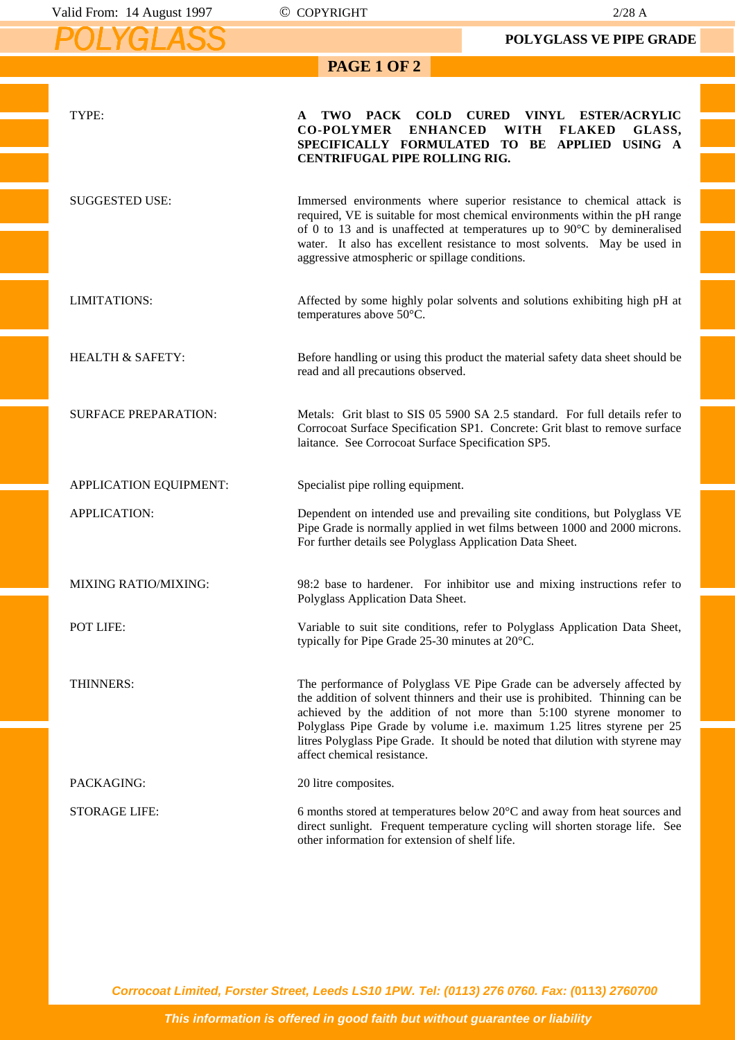*POLYGLASS*

**PAGE 1 OF 2** 

**POLYGLASS VE PIPE GRADE**

|                             | PAGE 1 OF 2                                                                                                                                                                                                                                                                                                                                                                                                               |
|-----------------------------|---------------------------------------------------------------------------------------------------------------------------------------------------------------------------------------------------------------------------------------------------------------------------------------------------------------------------------------------------------------------------------------------------------------------------|
| TYPE:                       | PACK COLD CURED<br>TWO<br>VINYL<br><b>ESTER/ACRYLIC</b><br>A                                                                                                                                                                                                                                                                                                                                                              |
|                             | <b>CO-POLYMER</b><br><b>ENHANCED</b><br><b>WITH</b><br><b>FLAKED</b><br>GLASS,<br>SPECIFICALLY FORMULATED TO BE APPLIED USING A<br>CENTRIFUGAL PIPE ROLLING RIG.                                                                                                                                                                                                                                                          |
| <b>SUGGESTED USE:</b>       | Immersed environments where superior resistance to chemical attack is<br>required, VE is suitable for most chemical environments within the pH range<br>of 0 to 13 and is unaffected at temperatures up to 90°C by demineralised<br>water. It also has excellent resistance to most solvents. May be used in<br>aggressive atmospheric or spillage conditions.                                                            |
| LIMITATIONS:                | Affected by some highly polar solvents and solutions exhibiting high pH at<br>temperatures above 50°C.                                                                                                                                                                                                                                                                                                                    |
| <b>HEALTH &amp; SAFETY:</b> | Before handling or using this product the material safety data sheet should be<br>read and all precautions observed.                                                                                                                                                                                                                                                                                                      |
| <b>SURFACE PREPARATION:</b> | Metals: Grit blast to SIS 05 5900 SA 2.5 standard. For full details refer to<br>Corrocoat Surface Specification SP1. Concrete: Grit blast to remove surface<br>laitance. See Corrocoat Surface Specification SP5.                                                                                                                                                                                                         |
| APPLICATION EQUIPMENT:      | Specialist pipe rolling equipment.                                                                                                                                                                                                                                                                                                                                                                                        |
| <b>APPLICATION:</b>         | Dependent on intended use and prevailing site conditions, but Polyglass VE<br>Pipe Grade is normally applied in wet films between 1000 and 2000 microns.<br>For further details see Polyglass Application Data Sheet.                                                                                                                                                                                                     |
| <b>MIXING RATIO/MIXING:</b> | 98:2 base to hardener. For inhibitor use and mixing instructions refer to<br>Polyglass Application Data Sheet.                                                                                                                                                                                                                                                                                                            |
| POT LIFE:                   | Variable to suit site conditions, refer to Polyglass Application Data Sheet,<br>typically for Pipe Grade 25-30 minutes at 20°C.                                                                                                                                                                                                                                                                                           |
| THINNERS:                   | The performance of Polyglass VE Pipe Grade can be adversely affected by<br>the addition of solvent thinners and their use is prohibited. Thinning can be<br>achieved by the addition of not more than 5:100 styrene monomer to<br>Polyglass Pipe Grade by volume i.e. maximum 1.25 litres styrene per 25<br>litres Polyglass Pipe Grade. It should be noted that dilution with styrene may<br>affect chemical resistance. |
| PACKAGING:                  | 20 litre composites.                                                                                                                                                                                                                                                                                                                                                                                                      |
| <b>STORAGE LIFE:</b>        | 6 months stored at temperatures below $20^{\circ}$ C and away from heat sources and<br>direct sunlight. Frequent temperature cycling will shorten storage life. See<br>other information for extension of shelf life.                                                                                                                                                                                                     |

**Corrocoat Limited, Forster Street, Leeds LS10 1PW. Tel: (0113) 276 0760. Fax: (0113) 2760700**